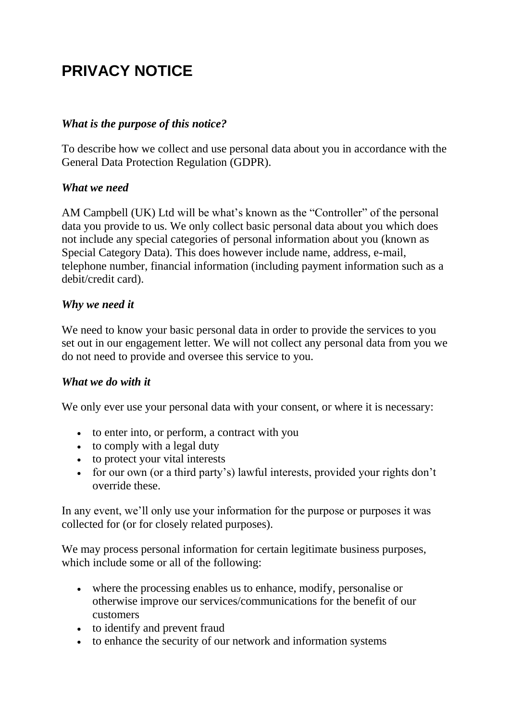# **PRIVACY NOTICE**

# *What is the purpose of this notice?*

To describe how we collect and use personal data about you in accordance with the General Data Protection Regulation (GDPR).

#### *What we need*

AM Campbell (UK) Ltd will be what's known as the "Controller" of the personal data you provide to us. We only collect basic personal data about you which does not include any special categories of personal information about you (known as Special Category Data). This does however include name, address, e-mail, telephone number, financial information (including payment information such as a debit/credit card).

# *Why we need it*

We need to know your basic personal data in order to provide the services to you set out in our engagement letter. We will not collect any personal data from you we do not need to provide and oversee this service to you.

#### *What we do with it*

We only ever use your personal data with your consent, or where it is necessary:

- to enter into, or perform, a contract with you
- to comply with a legal duty
- to protect your vital interests
- for our own (or a third party's) lawful interests, provided your rights don't override these.

In any event, we'll only use your information for the purpose or purposes it was collected for (or for closely related purposes).

We may process personal information for certain legitimate business purposes, which include some or all of the following:

- where the processing enables us to enhance, modify, personalise or otherwise improve our services/communications for the benefit of our customers
- to identify and prevent fraud
- to enhance the security of our network and information systems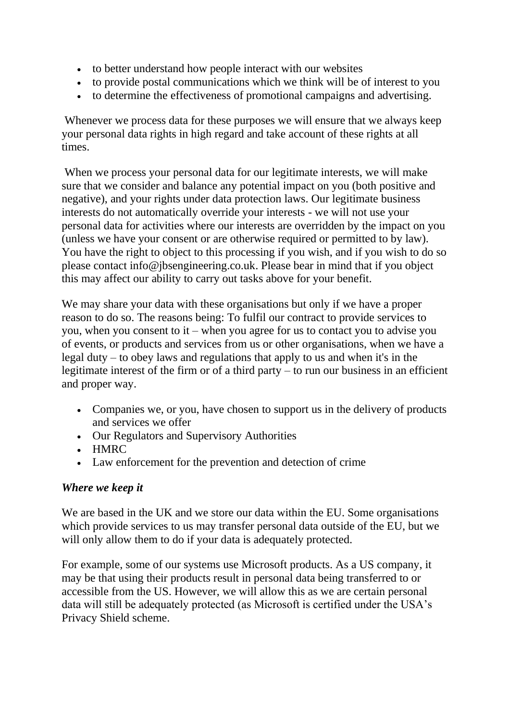- to better understand how people interact with our websites
- to provide postal communications which we think will be of interest to you
- to determine the effectiveness of promotional campaigns and advertising.

Whenever we process data for these purposes we will ensure that we always keep your personal data rights in high regard and take account of these rights at all times.

When we process your personal data for our legitimate interests, we will make sure that we consider and balance any potential impact on you (both positive and negative), and your rights under data protection laws. Our legitimate business interests do not automatically override your interests - we will not use your personal data for activities where our interests are overridden by the impact on you (unless we have your consent or are otherwise required or permitted to by law). You have the right to object to this processing if you wish, and if you wish to do so please contact info@jbsengineering.co.uk. Please bear in mind that if you object this may affect our ability to carry out tasks above for your benefit.

We may share your data with these organisations but only if we have a proper reason to do so. The reasons being: To fulfil our contract to provide services to you, when you consent to it – when you agree for us to contact you to advise you of events, or products and services from us or other organisations, when we have a legal duty – to obey laws and regulations that apply to us and when it's in the legitimate interest of the firm or of a third party  $-$  to run our business in an efficient and proper way.

- Companies we, or you, have chosen to support us in the delivery of products and services we offer
- Our Regulators and Supervisory Authorities
- HMRC
- Law enforcement for the prevention and detection of crime

# *Where we keep it*

We are based in the UK and we store our data within the EU. Some organisations which provide services to us may transfer personal data outside of the EU, but we will only allow them to do if your data is adequately protected.

For example, some of our systems use Microsoft products. As a US company, it may be that using their products result in personal data being transferred to or accessible from the US. However, we will allow this as we are certain personal data will still be adequately protected (as Microsoft is certified under the USA's Privacy Shield scheme.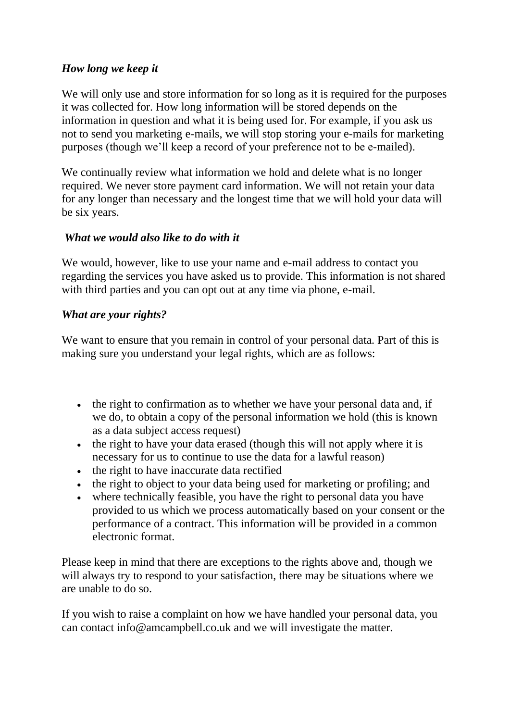# *How long we keep it*

We will only use and store information for so long as it is required for the purposes it was collected for. How long information will be stored depends on the information in question and what it is being used for. For example, if you ask us not to send you marketing e-mails, we will stop storing your e-mails for marketing purposes (though we'll keep a record of your preference not to be e-mailed).

We continually review what information we hold and delete what is no longer required. We never store payment card information. We will not retain your data for any longer than necessary and the longest time that we will hold your data will be six years.

# *What we would also like to do with it*

We would, however, like to use your name and e-mail address to contact you regarding the services you have asked us to provide. This information is not shared with third parties and you can opt out at any time via phone, e-mail.

# *What are your rights?*

We want to ensure that you remain in control of your personal data. Part of this is making sure you understand your legal rights, which are as follows:

- the right to confirmation as to whether we have your personal data and, if we do, to obtain a copy of the personal information we hold (this is known as a data subject access request)
- the right to have your data erased (though this will not apply where it is necessary for us to continue to use the data for a lawful reason)
- the right to have inaccurate data rectified
- the right to object to your data being used for marketing or profiling; and
- where technically feasible, you have the right to personal data you have provided to us which we process automatically based on your consent or the performance of a contract. This information will be provided in a common electronic format.

Please keep in mind that there are exceptions to the rights above and, though we will always try to respond to your satisfaction, there may be situations where we are unable to do so.

If you wish to raise a complaint on how we have handled your personal data, you can contact info@amcampbell.co.uk and we will investigate the matter.